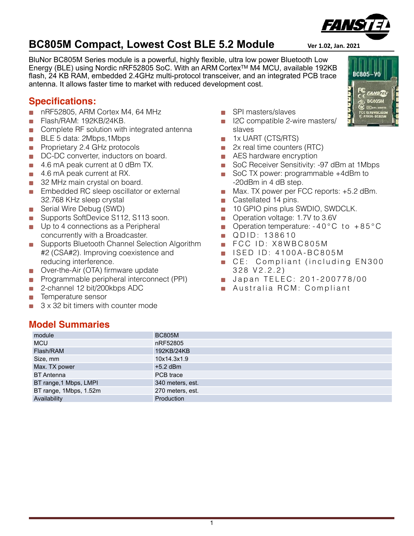BluNor BC805M Series module is a powerful, highly flexible, ultra low power Bluetooth Low Energy (BLE) using Nordic nRF52805 SoC. With an ARM CortexTM M4 MCU, available 192KB flash, 24 KB RAM, embedded 2.4GHz multi-protocol transceiver, and an integrated PCB trace antenna. It allows faster time to market with reduced development cost.

#### **Specifications:**

- nRF52805, ARM Cortex M4, 64 MHz i.
- Flash/RAM: 192KB/24KB. у.
- Complete RF solution with integrated antenna Ŵ.
- BLE 5 data: 2Mbps,1Mbps  $\frac{1}{\sqrt{2}}$
- Proprietary 2.4 GHz protocols у.
- DC-DC converter, inductors on board. S.
- 4.6 mA peak current at 0 dBm TX.  $\frac{1}{\sqrt{2}}$
- 4.6 mA peak current at RX. **SOF**
- 32 MHz main crystal on board.
- **Embedded RC sleep oscillator or external** 32.768 KHz sleep crystal
- Serial Wire Debug (SWD)
- Supports SoftDevice S112, S113 soon.  $\mathcal{L}_{\mathcal{F}}$
- **Up to 4 connections as a Peripheral** concurrently with a Broadcaster.
- Supports Bluetooth Channel Selection Algorithm #2 (CSA#2). Improving coexistence and reducing interference.
- Over-the-Air (OTA) firmware update  $\sim 10^{-1}$
- Programmable peripheral interconnect (PPI) is.
- 2-channel 12 bit/200kbps ADC Ŵ.
- h. Temperature sensor
- 3 x 32 bit timers with counter mode у.
- SPI masters/slaves
- I2C compatible 2-wire masters/ slaves
- 1x UART (CTS/RTS) **SE**
- 2x real time counters (RTC) 险
- AES hardware encryption **Separate**
- SoC Receiver Sensitivity: -97 dBm at 1Mbps  $\frac{1}{2} \frac{d\phi}{d\phi}$
- SoC TX power: programmable +4dBm to -20dBm in 4 dB step.
- Max. TX power per FCC reports: +5.2 dBm.
- Castellated 14 pins.
- 10 GPIO pins plus SWDIO, SWDCLK.  $\langle \hat{u} \rangle$
- **Deparation voltage: 1.7V to 3.6V**
- Operation temperature:  $-40^{\circ}$ C to  $+85^{\circ}$ C  $\mathcal{L}_{\mathcal{A}}$
- QDID: 138610  $\frac{1}{2} \frac{d\phi}{d\phi}$
- **FCC ID: X8WBC805M**
- **ISED ID: 4100A-BC805M**
- CE: Compliant (including EN300 328 V2.2.2)
- **Japan TELEC: 201-200778/00**
- Australia RCM: Compliant

#### **Model Summaries**

| module                 | <b>BC805M</b>    |
|------------------------|------------------|
| <b>MCU</b>             | nRF52805         |
| Flash/RAM              | 192KB/24KB       |
| Size, mm               | 10x14.3x1.9      |
| Max. TX power          | $+5.2$ dBm       |
| <b>BT</b> Antenna      | PCB trace        |
| BT range, 1 Mbps, LMPI | 340 meters, est. |
| BT range, 1Mbps, 1.52m | 270 meters, est. |
| Availability           | Production       |



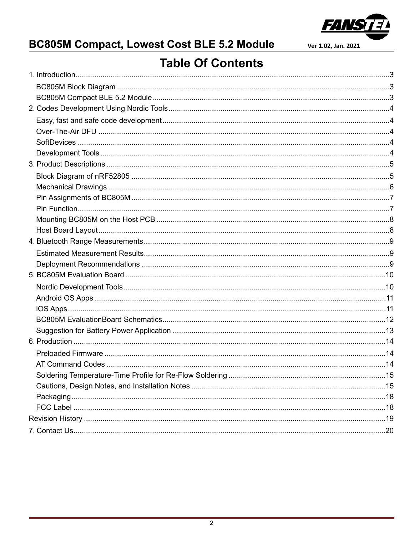

## **BC805M Compact, Lowest Cost BLE 5.2 Module**

Ver 1.02, Jan. 2021

## **Table Of Contents**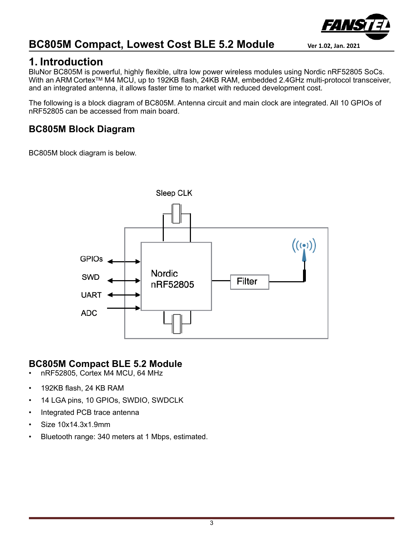

### <span id="page-2-0"></span>**1. Introduction**

BluNor BC805M is powerful, highly flexible, ultra low power wireless modules using Nordic nRF52805 SoCs. With an ARM Cortex™ M4 MCU, up to 192KB flash, 24KB RAM, embedded 2.4GHz multi-protocol transceiver, and an integrated antenna, it allows faster time to market with reduced development cost.

The following is a block diagram of BC805M. Antenna circuit and main clock are integrated. All 10 GPIOs of nRF52805 can be accessed from main board.

#### <span id="page-2-1"></span>**BC805M Block Diagram**

BC805M block diagram is below.



#### <span id="page-2-2"></span>**BC805M Compact BLE 5.2 Module**

- nRF52805, Cortex M4 MCU, 64 MHz
- 192KB flash, 24 KB RAM
- 14 LGA pins, 10 GPIOs, SWDIO, SWDCLK
- Integrated PCB trace antenna
- Size 10x14.3x1.9mm
- Bluetooth range: 340 meters at 1 Mbps, estimated.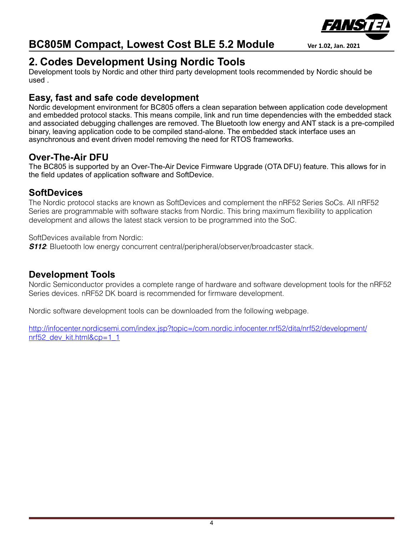



## <span id="page-3-0"></span>**2. Codes Development Using Nordic Tools**

Development tools by Nordic and other third party development tools recommended by Nordic should be used .

#### <span id="page-3-1"></span>**Easy, fast and safe code development**

Nordic development environment for BC805 offers a clean separation between application code development and embedded protocol stacks. This means compile, link and run time dependencies with the embedded stack and associated debugging challenges are removed. The Bluetooth low energy and ANT stack is a pre-compiled binary, leaving application code to be compiled stand-alone. The embedded stack interface uses an asynchronous and event driven model removing the need for RTOS frameworks.

#### <span id="page-3-2"></span>**Over-The-Air DFU**

The BC805 is supported by an Over-The-Air Device Firmware Upgrade (OTA DFU) feature. This allows for in the field updates of application software and SoftDevice.

#### <span id="page-3-3"></span>**SoftDevices**

The Nordic protocol stacks are known as SoftDevices and complement the nRF52 Series SoCs. All nRF52 Series are programmable with software stacks from Nordic. This bring maximum flexibility to application development and allows the latest stack version to be programmed into the SoC.

SoftDevices available from Nordic:

**S112**: Bluetooth low energy concurrent central/peripheral/observer/broadcaster stack.

#### <span id="page-3-4"></span>**Development Tools**

Nordic Semiconductor provides a complete range of hardware and software development tools for the nRF52 Series devices. nRF52 DK board is recommended for firmware development.

Nordic software development tools can be downloaded from the following webpage.

[http://infocenter.nordicsemi.com/index.jsp?topic=/com.nordic.infocenter.nrf52/dita/nrf52/development/](http://infocenter.nordicsemi.com/index.jsp?topic=/com.nordic.infocenter.nrf52/dita/nrf52/development/nrf52_dev_kit.html&cp=1_1) nrf52 dev kit.html&cp=1\_1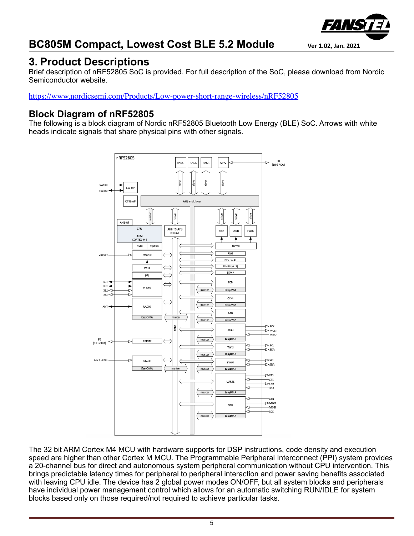

## <span id="page-4-0"></span>**3. Product Descriptions**

Brief description of nRF52805 SoC is provided. For full description of the SoC, please download from Nordic Semiconductor website.

<https://www.nordicsemi.com/Products/Low-power-short-range-wireless/nRF52805>

#### <span id="page-4-1"></span>**Block Diagram of nRF52805**

The following is a block diagram of Nordic nRF52805 Bluetooth Low Energy (BLE) SoC. Arrows with white heads indicate signals that share physical pins with other signals.



The 32 bit ARM Cortex M4 MCU with hardware supports for DSP instructions, code density and execution speed are higher than other Cortex M MCU. The Programmable Peripheral Interconnect (PPI) system provides a 20-channel bus for direct and autonomous system peripheral communication without CPU intervention. This brings predictable latency times for peripheral to peripheral interaction and power saving benefits associated with leaving CPU idle. The device has 2 global power modes ON/OFF, but all system blocks and peripherals have individual power management control which allows for an automatic switching RUN/IDLE for system blocks based only on those required/not required to achieve particular tasks.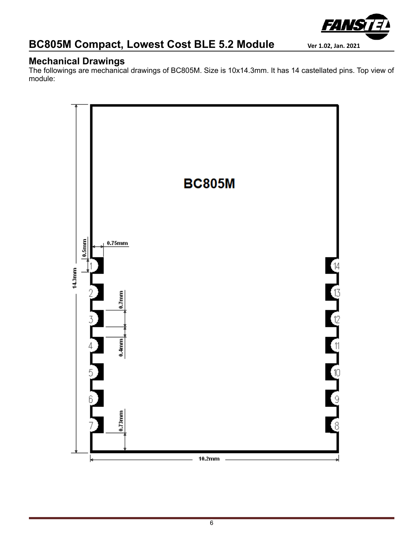

#### <span id="page-5-0"></span>**Mechanical Drawings**

The followings are mechanical drawings of BC805M. Size is 10x14.3mm. It has 14 castellated pins. Top view of module:

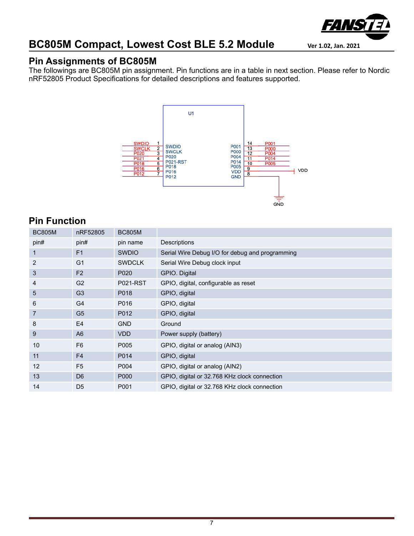

#### <span id="page-6-0"></span>**Pin Assignments of BC805M**

The followings are BC805M pin assignment. Pin functions are in a table in next section. Please refer to Nordic nRF52805 Product Specifications for detailed descriptions and features supported.



#### <span id="page-6-1"></span>**Pin Function**

| <b>BC805M</b>  | nRF52805       | <b>BC805M</b>   |                                                 |
|----------------|----------------|-----------------|-------------------------------------------------|
| pin#           | pin#           | pin name        | Descriptions                                    |
| 1              | F <sub>1</sub> | <b>SWDIO</b>    | Serial Wire Debug I/O for debug and programming |
| 2              | G <sub>1</sub> | <b>SWDCLK</b>   | Serial Wire Debug clock input                   |
| 3              | F <sub>2</sub> | P020            | GPIO. Digital                                   |
| 4              | G <sub>2</sub> | <b>P021-RST</b> | GPIO, digital, configurable as reset            |
| 5              | G <sub>3</sub> | P018            | GPIO, digital                                   |
| 6              | G4             | P016            | GPIO, digital                                   |
| $\overline{7}$ | G <sub>5</sub> | P012            | GPIO, digital                                   |
| 8              | E4             | <b>GND</b>      | Ground                                          |
| 9              | A <sub>6</sub> | <b>VDD</b>      | Power supply (battery)                          |
| 10             | F <sub>6</sub> | P005            | GPIO, digital or analog (AIN3)                  |
| 11             | F <sub>4</sub> | P014            | GPIO, digital                                   |
| 12             | F <sub>5</sub> | P004            | GPIO, digital or analog (AIN2)                  |
| 13             | D <sub>6</sub> | P000            | GPIO, digital or 32.768 KHz clock connection    |
| 14             | D <sub>5</sub> | P001            | GPIO, digital or 32.768 KHz clock connection    |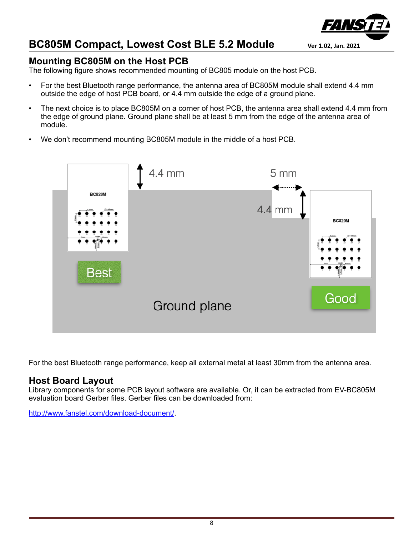#### <span id="page-7-0"></span>**Mounting BC805M on the Host PCB**

The following figure shows recommended mounting of BC805 module on the host PCB.

- For the best Bluetooth range performance, the antenna area of BC805M module shall extend 4.4 mm outside the edge of host PCB board, or 4.4 mm outside the edge of a ground plane.
- The next choice is to place BC805M on a corner of host PCB, the antenna area shall extend 4.4 mm from the edge of ground plane. Ground plane shall be at least 5 mm from the edge of the antenna area of module.
- We don't recommend mounting BC805M module in the middle of a host PCB.

4.4 mm

# **BC820M** 4.4 mm **BC820M** Best Good Ground plane

For the best Bluetooth range performance, keep all external metal at least 30mm from the antenna area.

#### <span id="page-7-1"></span>**Host Board Layout**

Library components for some PCB layout software are available. Or, it can be extracted from EV-BC805M evaluation board Gerber files. Gerber files can be downloaded from:

[http://www.fanstel.com/download-document/.](http://www.fanstel.com/download-document/)



5 mm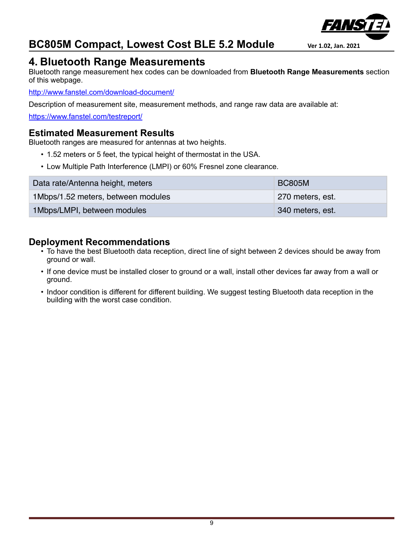

### <span id="page-8-0"></span>**4. Bluetooth Range Measurements**

Bluetooth range measurement hex codes can be downloaded from **Bluetooth Range Measurements** section of this webpage.

<http://www.fanstel.com/download-document/>

Description of measurement site, measurement methods, and range raw data are available at:

<https://www.fanstel.com/testreport/>

#### <span id="page-8-1"></span>**Estimated Measurement Results**

Bluetooth ranges are measured for antennas at two heights.

- 1.52 meters or 5 feet, the typical height of thermostat in the USA.
- Low Multiple Path Interference (LMPI) or 60% Fresnel zone clearance.

| Data rate/Antenna height, meters   | <b>BC805M</b>    |
|------------------------------------|------------------|
| 1Mbps/1.52 meters, between modules | 270 meters, est. |
| 1Mbps/LMPI, between modules        | 340 meters, est. |

#### <span id="page-8-2"></span>**Deployment Recommendations**

- To have the best Bluetooth data reception, direct line of sight between 2 devices should be away from ground or wall.
- If one device must be installed closer to ground or a wall, install other devices far away from a wall or ground.
- Indoor condition is different for different building. We suggest testing Bluetooth data reception in the building with the worst case condition.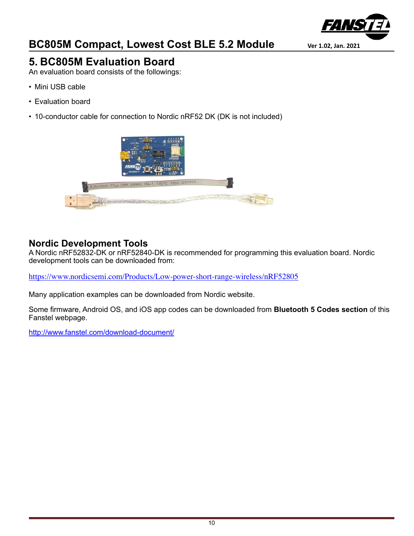

## <span id="page-9-0"></span>**5. BC805M Evaluation Board**

An evaluation board consists of the followings:

- Mini USB cable
- Evaluation board
- 10-conductor cable for connection to Nordic nRF52 DK (DK is not included)



#### <span id="page-9-1"></span>**Nordic Development Tools**

A Nordic nRF52832-DK or nRF52840-DK is recommended for programming this evaluation board. Nordic development tools can be downloaded from:

<https://www.nordicsemi.com/Products/Low-power-short-range-wireless/nRF52805>

Many application examples can be downloaded from Nordic website.

Some firmware, Android OS, and iOS app codes can be downloaded from **Bluetooth 5 Codes section** of this Fanstel webpage.

<http://www.fanstel.com/download-document/>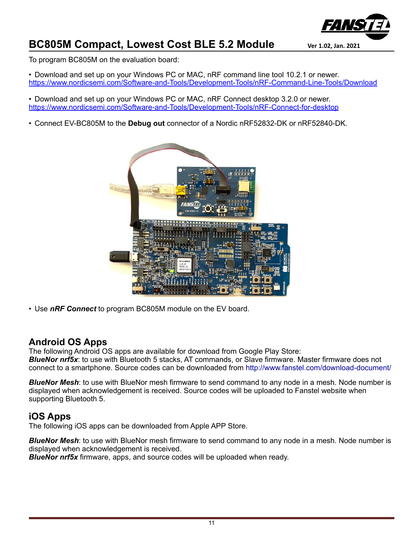

To program BC805M on the evaluation board:

• Download and set up on your Windows PC or MAC, nRF command line tool 10.2.1 or newer. <https://www.nordicsemi.com/Software-and-Tools/Development-Tools/nRF-Command-Line-Tools/Download>

• Download and set up on your Windows PC or MAC, nRF Connect desktop 3.2.0 or newer. <https://www.nordicsemi.com/Software-and-Tools/Development-Tools/nRF-Connect-for-desktop>

• Connect EV-BC805M to the **Debug out** connector of a Nordic nRF52832-DK or nRF52840-DK.



• Use *nRF Connect* to program BC805M module on the EV board.

#### <span id="page-10-0"></span>**Android OS Apps**

The following Android OS apps are available for download from Google Play Store: *BlueNor nrf5x*: to use with Bluetooth 5 stacks, AT commands, or Slave firmware. Master firmware does not connect to a smartphone. Source codes can be downloaded from http://www.fanstel.com/download-document/

*BlueNor Mesh*: to use with BlueNor mesh firmware to send command to any node in a mesh. Node number is displayed when acknowledgement is received. Source codes will be uploaded to Fanstel website when supporting Bluetooth 5.

#### <span id="page-10-1"></span>**iOS Apps**

The following iOS apps can be downloaded from Apple APP Store.

*BlueNor Mesh*: to use with BlueNor mesh firmware to send command to any node in a mesh. Node number is displayed when acknowledgement is received.

*BlueNor nrf5x* firmware, apps, and source codes will be uploaded when ready.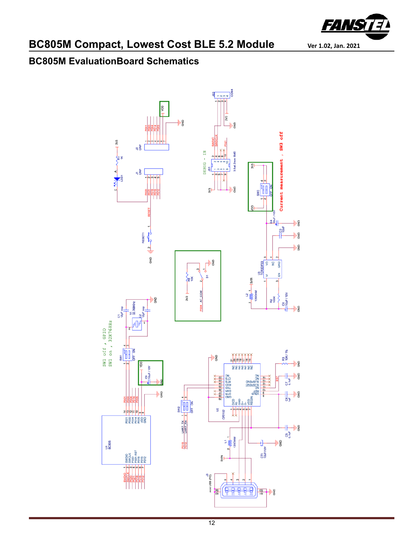

## <span id="page-11-0"></span>**BC805M EvaluationBoard Schematics**

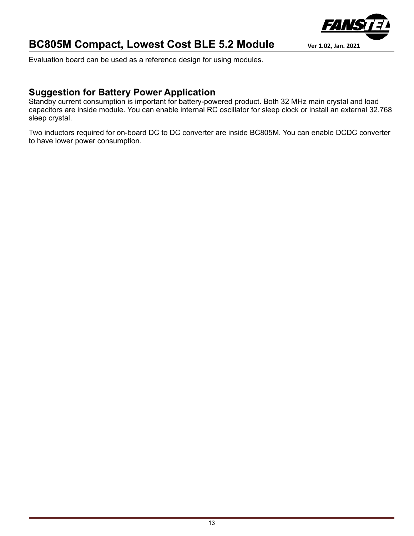

Evaluation board can be used as a reference design for using modules.

#### <span id="page-12-0"></span>**Suggestion for Battery Power Application**

Standby current consumption is important for battery-powered product. Both 32 MHz main crystal and load capacitors are inside module. You can enable internal RC oscillator for sleep clock or install an external 32.768 sleep crystal.

Two inductors required for on-board DC to DC converter are inside BC805M. You can enable DCDC converter to have lower power consumption.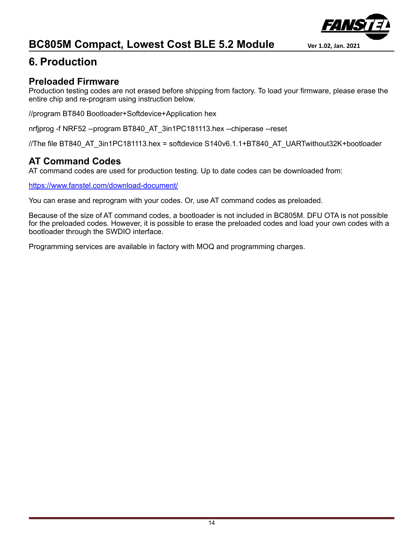

## <span id="page-13-0"></span>**6. Production**

#### <span id="page-13-1"></span>**Preloaded Firmware**

Production testing codes are not erased before shipping from factory. To load your firmware, please erase the entire chip and re-program using instruction below.

//program BT840 Bootloader+Softdevice+Application hex

nrfjprog -f NRF52 --program BT840\_AT\_3in1PC181113.hex --chiperase --reset

//The file BT840\_AT\_3in1PC181113.hex = softdevice S140v6.1.1+BT840\_AT\_UARTwithout32K+bootloader

#### <span id="page-13-2"></span>**AT Command Codes**

AT command codes are used for production testing. Up to date codes can be downloaded from:

<https://www.fanstel.com/download-document/>

You can erase and reprogram with your codes. Or, use AT command codes as preloaded.

Because of the size of AT command codes, a bootloader is not included in BC805M. DFU OTA is not possible for the preloaded codes. However, it is possible to erase the preloaded codes and load your own codes with a bootloader through the SWDIO interface.

Programming services are available in factory with MOQ and programming charges.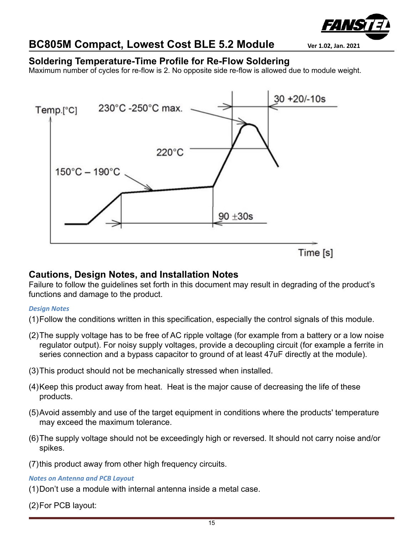

#### <span id="page-14-0"></span>**Soldering Temperature-Time Profile for Re-Flow Soldering**

Maximum number of cycles for re-flow is 2. No opposite side re-flow is allowed due to module weight.



#### <span id="page-14-1"></span>**Cautions, Design Notes, and Installation Notes**

Failure to follow the guidelines set forth in this document may result in degrading of the product's functions and damage to the product.

#### *Design Notes*

- (1)Follow the conditions written in this specification, especially the control signals of this module.
- (2)The supply voltage has to be free of AC ripple voltage (for example from a battery or a low noise regulator output). For noisy supply voltages, provide a decoupling circuit (for example a ferrite in series connection and a bypass capacitor to ground of at least 47uF directly at the module).
- (3)This product should not be mechanically stressed when installed.
- (4)Keep this product away from heat. Heat is the major cause of decreasing the life of these products.
- (5)Avoid assembly and use of the target equipment in conditions where the products' temperature may exceed the maximum tolerance.
- (6)The supply voltage should not be exceedingly high or reversed. It should not carry noise and/or spikes.
- (7)this product away from other high frequency circuits.

*Notes on Antenna and PCB Layout*

- (1)Don't use a module with internal antenna inside a metal case.
- (2)For PCB layout: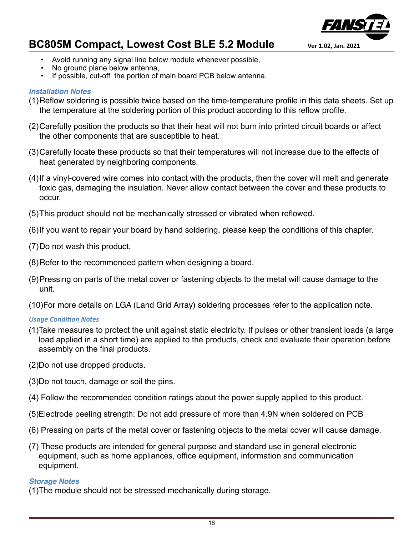

- 
- Avoid running any signal line below module whenever possible,
- No ground plane below antenna,
- If possible, cut-off the portion of main board PCB below antenna.

#### *Installation Notes*

- (1)Reflow soldering is possible twice based on the time-temperature profile in this data sheets. Set up the temperature at the soldering portion of this product according to this reflow profile.
- (2)Carefully position the products so that their heat will not burn into printed circuit boards or affect the other components that are susceptible to heat.
- (3)Carefully locate these products so that their temperatures will not increase due to the effects of heat generated by neighboring components.
- (4)If a vinyl-covered wire comes into contact with the products, then the cover will melt and generate toxic gas, damaging the insulation. Never allow contact between the cover and these products to occur.
- (5)This product should not be mechanically stressed or vibrated when reflowed.
- (6)If you want to repair your board by hand soldering, please keep the conditions of this chapter.
- (7)Do not wash this product.
- (8)Refer to the recommended pattern when designing a board.
- (9)Pressing on parts of the metal cover or fastening objects to the metal will cause damage to the unit.
- (10)For more details on LGA (Land Grid Array) soldering processes refer to the application note.

#### *Usage Condition Notes*

- (1)Take measures to protect the unit against static electricity. If pulses or other transient loads (a large load applied in a short time) are applied to the products, check and evaluate their operation before assembly on the final products.
- (2)Do not use dropped products.
- (3)Do not touch, damage or soil the pins.
- (4) Follow the recommended condition ratings about the power supply applied to this product.
- (5)Electrode peeling strength: Do not add pressure of more than 4.9N when soldered on PCB
- (6) Pressing on parts of the metal cover or fastening objects to the metal cover will cause damage.
- (7) These products are intended for general purpose and standard use in general electronic equipment, such as home appliances, office equipment, information and communication equipment.

#### *Storage Notes*

(1)The module should not be stressed mechanically during storage.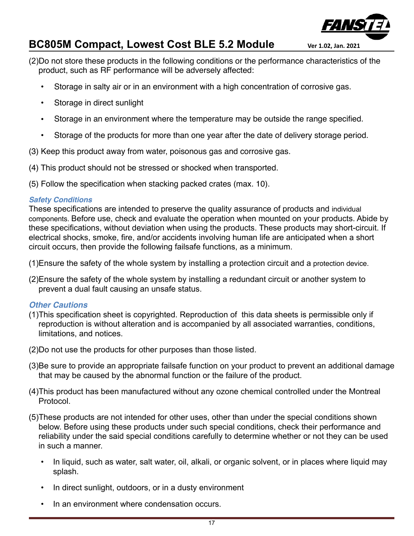

- (2)Do not store these products in the following conditions or the performance characteristics of the product, such as RF performance will be adversely affected:
	- Storage in salty air or in an environment with a high concentration of corrosive gas.
	- Storage in direct sunlight
	- Storage in an environment where the temperature may be outside the range specified.
	- Storage of the products for more than one year after the date of delivery storage period.
- (3) Keep this product away from water, poisonous gas and corrosive gas.
- (4) This product should not be stressed or shocked when transported.
- (5) Follow the specification when stacking packed crates (max. 10).

#### *Safety Conditions*

These specifications are intended to preserve the quality assurance of products and individual components. Before use, check and evaluate the operation when mounted on your products. Abide by these specifications, without deviation when using the products. These products may short-circuit. If electrical shocks, smoke, fire, and/or accidents involving human life are anticipated when a short circuit occurs, then provide the following failsafe functions, as a minimum.

- (1)Ensure the safety of the whole system by installing a protection circuit and a protection device.
- (2)Ensure the safety of the whole system by installing a redundant circuit or another system to prevent a dual fault causing an unsafe status.

#### *Other Cautions*

- (1)This specification sheet is copyrighted. Reproduction of this data sheets is permissible only if reproduction is without alteration and is accompanied by all associated warranties, conditions, limitations, and notices.
- (2)Do not use the products for other purposes than those listed.
- (3)Be sure to provide an appropriate failsafe function on your product to prevent an additional damage that may be caused by the abnormal function or the failure of the product.
- (4)This product has been manufactured without any ozone chemical controlled under the Montreal Protocol.
- (5)These products are not intended for other uses, other than under the special conditions shown below. Before using these products under such special conditions, check their performance and reliability under the said special conditions carefully to determine whether or not they can be used in such a manner.
	- In liquid, such as water, salt water, oil, alkali, or organic solvent, or in places where liquid may splash.
	- In direct sunlight, outdoors, or in a dusty environment
	- In an environment where condensation occurs.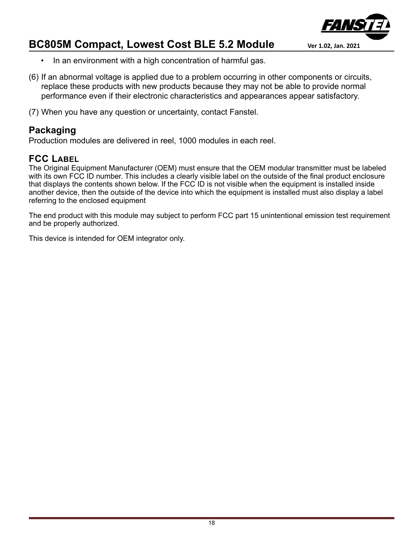

- In an environment with a high concentration of harmful gas.
- (6) If an abnormal voltage is applied due to a problem occurring in other components or circuits, replace these products with new products because they may not be able to provide normal performance even if their electronic characteristics and appearances appear satisfactory.
- (7) When you have any question or uncertainty, contact Fanstel.

#### <span id="page-17-0"></span>**Packaging**

Production modules are delivered in reel, 1000 modules in each reel.

#### <span id="page-17-1"></span>**FCC LABEL**

The Original Equipment Manufacturer (OEM) must ensure that the OEM modular transmitter must be labeled with its own FCC ID number. This includes a clearly visible label on the outside of the final product enclosure that displays the contents shown below. If the FCC ID is not visible when the equipment is installed inside another device, then the outside of the device into which the equipment is installed must also display a label referring to the enclosed equipment

The end product with this module may subject to perform FCC part 15 unintentional emission test requirement and be properly authorized.

This device is intended for OEM integrator only.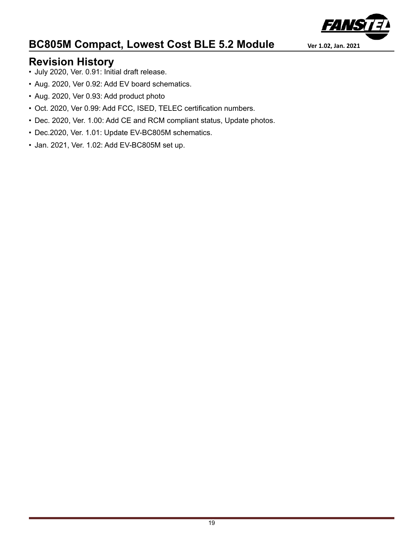

## <span id="page-18-0"></span>**Revision History**

- July 2020, Ver. 0.91: Initial draft release.
- Aug. 2020, Ver 0.92: Add EV board schematics.
- Aug. 2020, Ver 0.93: Add product photo
- Oct. 2020, Ver 0.99: Add FCC, ISED, TELEC certification numbers.
- Dec. 2020, Ver. 1.00: Add CE and RCM compliant status, Update photos.
- Dec.2020, Ver. 1.01: Update EV-BC805M schematics.
- Jan. 2021, Ver. 1.02: Add EV-BC805M set up.